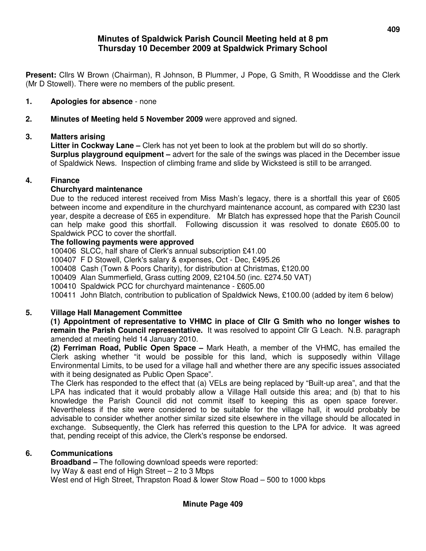# **Minutes of Spaldwick Parish Council Meeting held at 8 pm Thursday 10 December 2009 at Spaldwick Primary School**

**Present:** Cllrs W Brown (Chairman), R Johnson, B Plummer, J Pope, G Smith, R Wooddisse and the Clerk (Mr D Stowell). There were no members of the public present.

## **1. Apologies for absence** - none

**2. Minutes of Meeting held 5 November 2009** were approved and signed.

## **3. Matters arising**

**Litter in Cockway Lane –** Clerk has not yet been to look at the problem but will do so shortly. **Surplus playground equipment –** advert for the sale of the swings was placed in the December issue of Spaldwick News. Inspection of climbing frame and slide by Wicksteed is still to be arranged.

#### **4. Finance**

#### **Churchyard maintenance**

Due to the reduced interest received from Miss Mash's legacy, there is a shortfall this year of £605 between income and expenditure in the churchyard maintenance account, as compared with £230 last year, despite a decrease of £65 in expenditure. Mr Blatch has expressed hope that the Parish Council can help make good this shortfall. Following discussion it was resolved to donate £605.00 to Spaldwick PCC to cover the shortfall.

## **The following payments were approved**

100406 SLCC, half share of Clerk's annual subscription £41.00

100407 F D Stowell, Clerk's salary & expenses, Oct - Dec, £495.26

100408 Cash (Town & Poors Charity), for distribution at Christmas, £120.00

100409 Alan Summerfield, Grass cutting 2009, £2104.50 (inc. £274.50 VAT)

100410 Spaldwick PCC for churchyard maintenance - £605.00

100411 John Blatch, contribution to publication of Spaldwick News, £100.00 (added by item 6 below)

# **5. Village Hall Management Committee**

**(1) Appointment of representative to VHMC in place of Cllr G Smith who no longer wishes to remain the Parish Council representative.** It was resolved to appoint Cllr G Leach. N.B. paragraph amended at meeting held 14 January 2010.

**(2) Ferriman Road, Public Open Space –** Mark Heath, a member of the VHMC, has emailed the Clerk asking whether "it would be possible for this land, which is supposedly within Village Environmental Limits, to be used for a village hall and whether there are any specific issues associated with it being designated as Public Open Space".

The Clerk has responded to the effect that (a) VELs are being replaced by "Built-up area", and that the LPA has indicated that it would probably allow a Village Hall outside this area; and (b) that to his knowledge the Parish Council did not commit itself to keeping this as open space forever. Nevertheless if the site were considered to be suitable for the village hall, it would probably be advisable to consider whether another similar sized site elsewhere in the village should be allocated in exchange. Subsequently, the Clerk has referred this question to the LPA for advice. It was agreed that, pending receipt of this advice, the Clerk's response be endorsed.

#### **6. Communications**

**Broadband –** The following download speeds were reported: Ivy Way & east end of High Street – 2 to 3 Mbps West end of High Street, Thrapston Road & lower Stow Road – 500 to 1000 kbps

**Minute Page 409**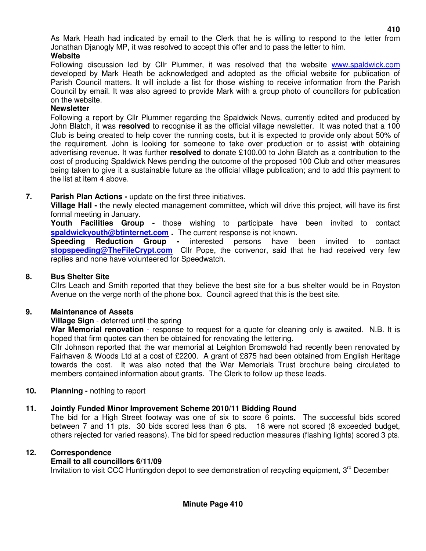As Mark Heath had indicated by email to the Clerk that he is willing to respond to the letter from Jonathan Djanogly MP, it was resolved to accept this offer and to pass the letter to him.

**Website** 

Following discussion led by Cllr Plummer, it was resolved that the website www.spaldwick.com developed by Mark Heath be acknowledged and adopted as the official website for publication of Parish Council matters. It will include a list for those wishing to receive information from the Parish Council by email. It was also agreed to provide Mark with a group photo of councillors for publication on the website.

#### **Newsletter**

Following a report by Cllr Plummer regarding the Spaldwick News, currently edited and produced by John Blatch, it was **resolved** to recognise it as the official village newsletter. It was noted that a 100 Club is being created to help cover the running costs, but it is expected to provide only about 50% of the requirement. John is looking for someone to take over production or to assist with obtaining advertising revenue. It was further **resolved** to donate £100.00 to John Blatch as a contribution to the cost of producing Spaldwick News pending the outcome of the proposed 100 Club and other measures being taken to give it a sustainable future as the official village publication; and to add this payment to the list at item 4 above.

## **7. Parish Plan Actions -** update on the first three initiatives.

 **Village Hall -** the newly elected management committee, which will drive this project, will have its first formal meeting in January.

 **Youth Facilities Group -** those wishing to participate have been invited to contact **spaldwickyouth@btinternet.com .** The current response is not known.

 **Speeding Reduction Group -** interested persons have been invited to contact **stopspeeding@TheFileCrypt.com** Cllr Pope, the convenor, said that he had received very few replies and none have volunteered for Speedwatch.

#### **8. Bus Shelter Site**

Cllrs Leach and Smith reported that they believe the best site for a bus shelter would be in Royston Avenue on the verge north of the phone box. Council agreed that this is the best site.

## **9. Maintenance of Assets**

#### **Village Sign** - deferred until the spring

**War Memorial renovation** - response to request for a quote for cleaning only is awaited. N.B. It is hoped that firm quotes can then be obtained for renovating the lettering.

Cllr Johnson reported that the war memorial at Leighton Bromswold had recently been renovated by Fairhaven & Woods Ltd at a cost of £2200. A grant of £875 had been obtained from English Heritage towards the cost. It was also noted that the War Memorials Trust brochure being circulated to members contained information about grants. The Clerk to follow up these leads.

#### **10. Planning -** nothing to report

#### **11. Jointly Funded Minor Improvement Scheme 2010/11 Bidding Round**

The bid for a High Street footway was one of six to score 6 points. The successful bids scored between 7 and 11 pts. 30 bids scored less than 6 pts. 18 were not scored (8 exceeded budget, others rejected for varied reasons). The bid for speed reduction measures (flashing lights) scored 3 pts.

#### **12. Correspondence**

#### **Email to all councillors 6/11/09**

Invitation to visit CCC Huntingdon depot to see demonstration of recycling equipment,  $3<sup>rd</sup>$  December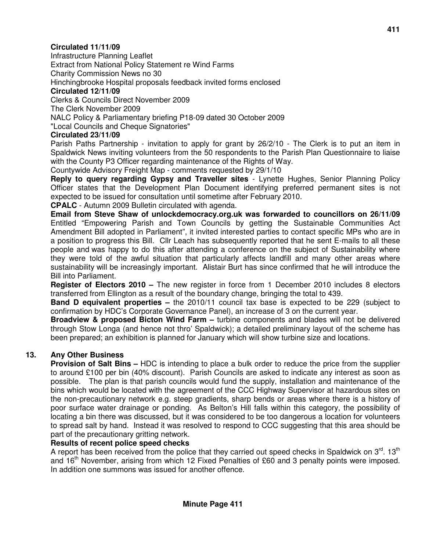# **Circulated 11/11/09**

Infrastructure Planning Leaflet Extract from National Policy Statement re Wind Farms Charity Commission News no 30 Hinchingbrooke Hospital proposals feedback invited forms enclosed **Circulated 12/11/09** 

Clerks & Councils Direct November 2009 The Clerk November 2009 NALC Policy & Parliamentary briefing P18-09 dated 30 October 2009 "Local Councils and Cheque Signatories"

### **Circulated 23/11/09**

Parish Paths Partnership - invitation to apply for grant by 26/2/10 - The Clerk is to put an item in Spaldwick News inviting volunteers from the 50 respondents to the Parish Plan Questionnaire to liaise with the County P3 Officer regarding maintenance of the Rights of Way.

Countywide Advisory Freight Map - comments requested by 29/1/10

**Reply to query regarding Gypsy and Traveller sites** - Lynette Hughes, Senior Planning Policy Officer states that the Development Plan Document identifying preferred permanent sites is not expected to be issued for consultation until sometime after February 2010.

**CPALC** - Autumn 2009 Bulletin circulated with agenda.

**Email from Steve Shaw of unlockdemocracy.org.uk was forwarded to councillors on 26/11/09**  Entitled "Empowering Parish and Town Councils by getting the Sustainable Communities Act Amendment Bill adopted in Parliament", it invited interested parties to contact specific MPs who are in a position to progress this Bill. Cllr Leach has subsequently reported that he sent E-mails to all these people and was happy to do this after attending a conference on the subject of Sustainability where they were told of the awful situation that particularly affects landfill and many other areas where sustainability will be increasingly important. Alistair Burt has since confirmed that he will introduce the Bill into Parliament.

**Register of Electors 2010 –** The new register in force from 1 December 2010 includes 8 electors transferred from Ellington as a result of the boundary change, bringing the total to 439.

**Band D equivalent properties –** the 2010/11 council tax base is expected to be 229 (subject to confirmation by HDC's Corporate Governance Panel), an increase of 3 on the current year.

**Broadview & proposed Bicton Wind Farm –** turbine components and blades will not be delivered through Stow Longa (and hence not thro' Spaldwick); a detailed preliminary layout of the scheme has been prepared; an exhibition is planned for January which will show turbine size and locations.

# **13. Any Other Business**

**Provision of Salt Bins – HDC** is intending to place a bulk order to reduce the price from the supplier to around £100 per bin (40% discount). Parish Councils are asked to indicate any interest as soon as possible. The plan is that parish councils would fund the supply, installation and maintenance of the bins which would be located with the agreement of the CCC Highway Supervisor at hazardous sites on the non-precautionary network e.g. steep gradients, sharp bends or areas where there is a history of poor surface water drainage or ponding. As Belton's Hill falls within this category, the possibility of locating a bin there was discussed, but it was considered to be too dangerous a location for volunteers to spread salt by hand. Instead it was resolved to respond to CCC suggesting that this area should be part of the precautionary gritting network.

#### **Results of recent police speed checks**

A report has been received from the police that they carried out speed checks in Spaldwick on  $3^{\text{rd}}$ . 13<sup>th</sup> and 16<sup>th</sup> November, arising from which 12 Fixed Penalties of £60 and 3 penalty points were imposed. In addition one summons was issued for another offence.